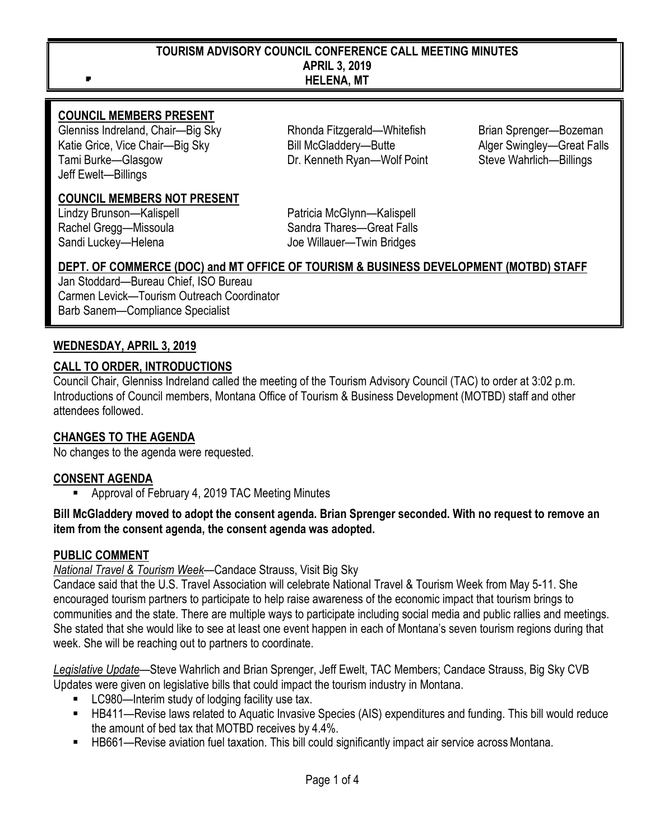#### **TOURISM ADVISORY COUNCIL CONFERENCE CALL MEETING MINUTES APRIL 3, 2019 HELENA, MT**

#### **COUNCIL MEMBERS PRESENT**

Glenniss Indreland, Chair—Big Sky Rhonda Fitzgerald—Whitefish Brian Sprenger—Bozeman Katie Grice, Vice Chair—Big Sky Bill McGladdery—Butte Alger Swingley—Great Falls Tami Burke—Glasgow Dr. Kenneth Ryan—Wolf Point Steve Wahrlich—Billings Jeff Ewelt—Billings

**COUNCIL MEMBERS NOT PRESENT**

Lindzy Brunson—Kalispell **Patricia McGlynn—Kalispell** Rachel Gregg—Missoula Sandra Thares—Great Falls Sandi Luckey—Helena **Information** Joe Willauer—Twin Bridges

#### **DEPT. OF COMMERCE (DOC) and MT OFFICE OF TOURISM & BUSINESS DEVELOPMENT (MOTBD) STAFF**

Jan Stoddard—Bureau Chief, ISO Bureau Carmen Levick—Tourism Outreach Coordinator Barb Sanem—Compliance Specialist

#### **WEDNESDAY, APRIL 3, 2019**

#### **CALL TO ORDER, INTRODUCTIONS**

Council Chair, Glenniss Indreland called the meeting of the Tourism Advisory Council (TAC) to order at 3:02 p.m. Introductions of Council members, Montana Office of Tourism & Business Development (MOTBD) staff and other attendees followed.

#### **CHANGES TO THE AGENDA**

No changes to the agenda were requested.

#### **CONSENT AGENDA**

Approval of February 4, 2019 TAC Meeting Minutes

#### **Bill McGladdery moved to adopt the consent agenda. Brian Sprenger seconded. With no request to remove an item from the consent agenda, the consent agenda was adopted.**

#### **PUBLIC COMMENT**

*National Travel & Tourism Week*—Candace Strauss, Visit Big Sky

Candace said that the U.S. Travel Association will celebrate National Travel & Tourism Week from May 5-11. She encouraged tourism partners to participate to help raise awareness of the economic impact that tourism brings to communities and the state. There are multiple ways to participate including social media and public rallies and meetings. She stated that she would like to see at least one event happen in each of Montana's seven tourism regions during that week. She will be reaching out to partners to coordinate.

*Legislative Update*—Steve Wahrlich and Brian Sprenger, Jeff Ewelt, TAC Members; Candace Strauss, Big Sky CVB Updates were given on legislative bills that could impact the tourism industry in Montana.

- **LC980—Interim study of lodging facility use tax.**
- HB411—Revise laws related to Aquatic Invasive Species (AIS) expenditures and funding. This bill would reduce the amount of bed tax that MOTBD receives by 4.4%.
- HB661—Revise aviation fuel taxation. This bill could significantly impact air service acrossMontana.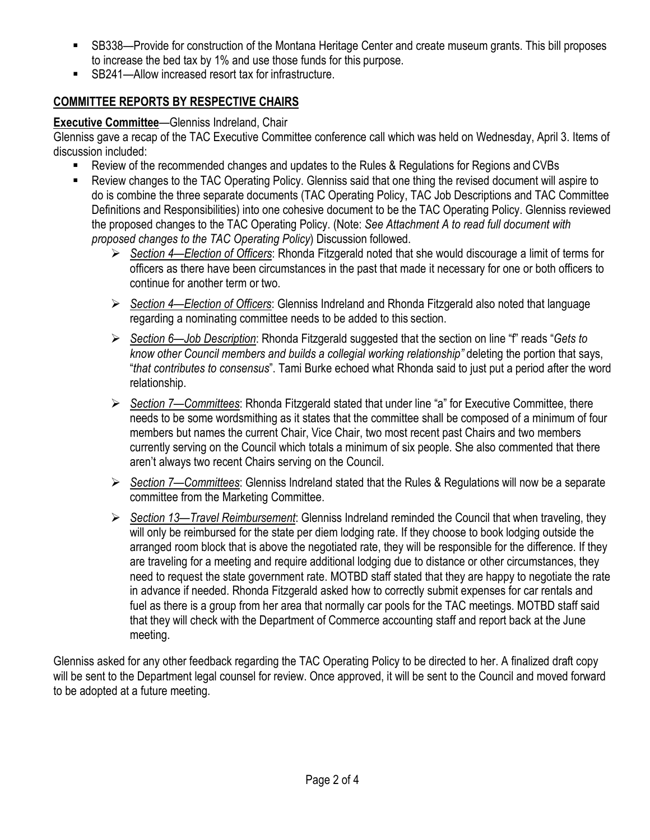- SB338—Provide for construction of the Montana Heritage Center and create museum grants. This bill proposes to increase the bed tax by 1% and use those funds for this purpose.
- SB241—Allow increased resort tax for infrastructure.

## **COMMITTEE REPORTS BY RESPECTIVE CHAIRS**

## **Executive Committee**—Glenniss Indreland, Chair

Glenniss gave a recap of the TAC Executive Committee conference call which was held on Wednesday, April 3. Items of discussion included:

- Review of the recommended changes and updates to the Rules & Regulations for Regions and CVBs
- Review changes to the TAC Operating Policy. Glenniss said that one thing the revised document will aspire to do is combine the three separate documents (TAC Operating Policy, TAC Job Descriptions and TAC Committee Definitions and Responsibilities) into one cohesive document to be the TAC Operating Policy. Glenniss reviewed the proposed changes to the TAC Operating Policy. (Note: *See Attachment A to read full document with proposed changes to the TAC Operating Policy*) Discussion followed.
	- *Section 4—Election of Officers*: Rhonda Fitzgerald noted that she would discourage a limit of terms for officers as there have been circumstances in the past that made it necessary for one or both officers to continue for another term or two.
	- *Section 4—Election of Officers*: Glenniss Indreland and Rhonda Fitzgerald also noted that language regarding a nominating committee needs to be added to this section.
	- *Section 6—Job Description*: Rhonda Fitzgerald suggested that the section on line "f" reads "*Gets to know other Council members and builds a collegial working relationship"* deleting the portion that says, "*that contributes to consensus*". Tami Burke echoed what Rhonda said to just put a period after the word relationship.
	- *Section 7—Committees*: Rhonda Fitzgerald stated that under line "a" for Executive Committee, there needs to be some wordsmithing as it states that the committee shall be composed of a minimum of four members but names the current Chair, Vice Chair, two most recent past Chairs and two members currently serving on the Council which totals a minimum of six people. She also commented that there aren't always two recent Chairs serving on the Council.
	- *Section 7—Committees*: Glenniss Indreland stated that the Rules & Regulations will now be a separate committee from the Marketing Committee.
	- *Section 13—Travel Reimbursement*: Glenniss Indreland reminded the Council that when traveling, they will only be reimbursed for the state per diem lodging rate. If they choose to book lodging outside the arranged room block that is above the negotiated rate, they will be responsible for the difference. If they are traveling for a meeting and require additional lodging due to distance or other circumstances, they need to request the state government rate. MOTBD staff stated that they are happy to negotiate the rate in advance if needed. Rhonda Fitzgerald asked how to correctly submit expenses for car rentals and fuel as there is a group from her area that normally car pools for the TAC meetings. MOTBD staff said that they will check with the Department of Commerce accounting staff and report back at the June meeting.

Glenniss asked for any other feedback regarding the TAC Operating Policy to be directed to her. A finalized draft copy will be sent to the Department legal counsel for review. Once approved, it will be sent to the Council and moved forward to be adopted at a future meeting.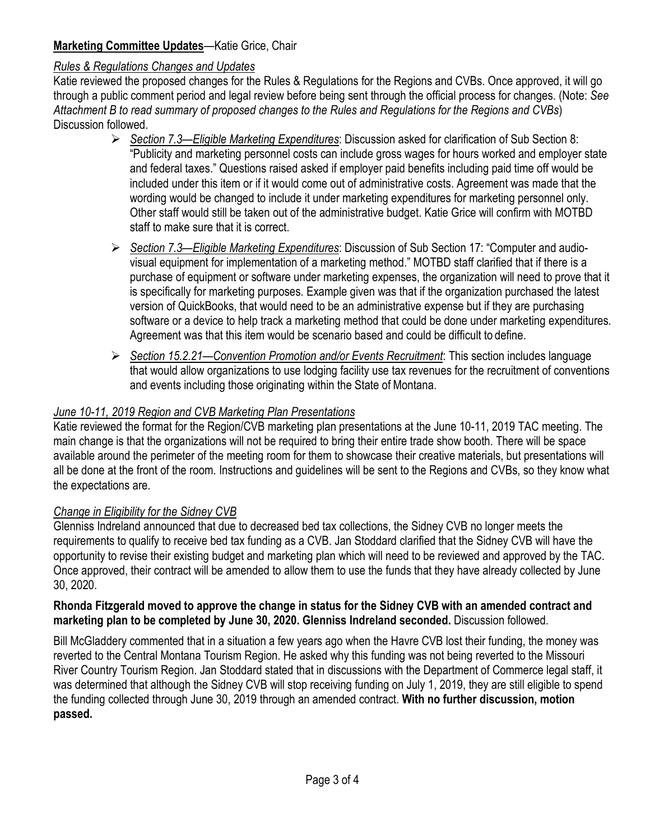## **Marketing Committee Updates**—Katie Grice, Chair

### *Rules & Regulations Changes and Updates*

Katie reviewed the proposed changes for the Rules & Regulations for the Regions and CVBs. Once approved, it will go through a public comment period and legal review before being sent through the official process for changes. (Note: *See Attachment B to read summary of proposed changes to the Rules and Regulations for the Regions and CVBs*) Discussion followed.

- *Section 7.3—Eligible Marketing Expenditures*: Discussion asked for clarification of Sub Section 8: "Publicity and marketing personnel costs can include gross wages for hours worked and employer state and federal taxes." Questions raised asked if employer paid benefits including paid time off would be included under this item or if it would come out of administrative costs. Agreement was made that the wording would be changed to include it under marketing expenditures for marketing personnel only. Other staff would still be taken out of the administrative budget. Katie Grice will confirm with MOTBD staff to make sure that it is correct.
- *Section 7.3—Eligible Marketing Expenditures*: Discussion of Sub Section 17: "Computer and audiovisual equipment for implementation of a marketing method." MOTBD staff clarified that if there is a purchase of equipment or software under marketing expenses, the organization will need to prove that it is specifically for marketing purposes. Example given was that if the organization purchased the latest version of QuickBooks, that would need to be an administrative expense but if they are purchasing software or a device to help track a marketing method that could be done under marketing expenditures. Agreement was that this item would be scenario based and could be difficult to define.
- *Section 15.2.21—Convention Promotion and/or Events Recruitment*: This section includes language that would allow organizations to use lodging facility use tax revenues for the recruitment of conventions and events including those originating within the State of Montana.

## *June 10-11, 2019 Region and CVB Marketing Plan Presentations*

Katie reviewed the format for the Region/CVB marketing plan presentations at the June 10-11, 2019 TAC meeting. The main change is that the organizations will not be required to bring their entire trade show booth. There will be space available around the perimeter of the meeting room for them to showcase their creative materials, but presentations will all be done at the front of the room. Instructions and guidelines will be sent to the Regions and CVBs, so they know what the expectations are.

### *Change in Eligibility for the Sidney CVB*

Glenniss Indreland announced that due to decreased bed tax collections, the Sidney CVB no longer meets the requirements to qualify to receive bed tax funding as a CVB. Jan Stoddard clarified that the Sidney CVB will have the opportunity to revise their existing budget and marketing plan which will need to be reviewed and approved by the TAC. Once approved, their contract will be amended to allow them to use the funds that they have already collected by June 30, 2020.

#### **Rhonda Fitzgerald moved to approve the change in status for the Sidney CVB with an amended contract and marketing plan to be completed by June 30, 2020. Glenniss Indreland seconded.** Discussion followed.

Bill McGladdery commented that in a situation a few years ago when the Havre CVB lost their funding, the money was reverted to the Central Montana Tourism Region. He asked why this funding was not being reverted to the Missouri River Country Tourism Region. Jan Stoddard stated that in discussions with the Department of Commerce legal staff, it was determined that although the Sidney CVB will stop receiving funding on July 1, 2019, they are still eligible to spend the funding collected through June 30, 2019 through an amended contract. **With no further discussion, motion passed.**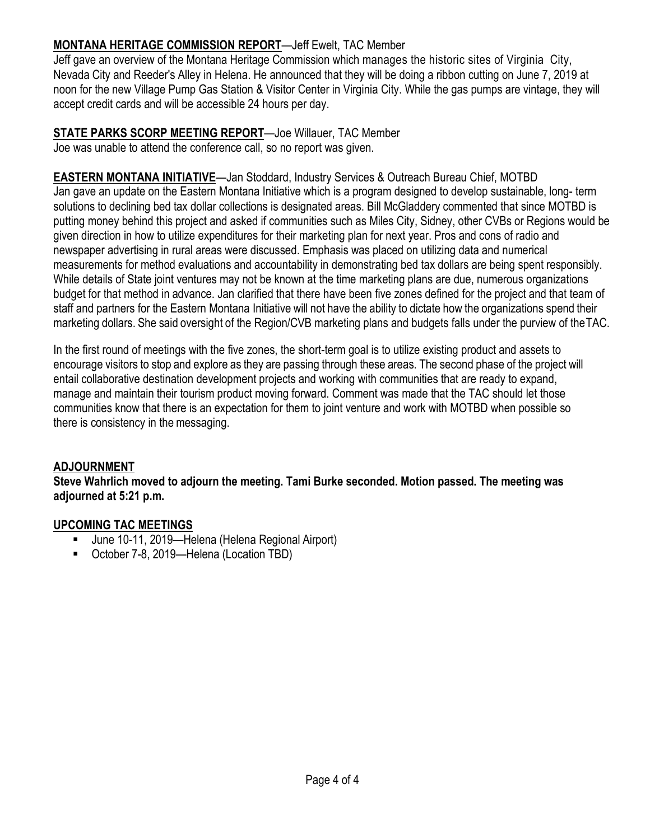## **MONTANA HERITAGE COMMISSION REPORT**—Jeff Ewelt, TAC Member

Jeff gave an overview of the Montana Heritage Commission which manages the historic sites of Virginia City, Nevada City and Reeder's Alley in Helena. He announced that they will be doing a ribbon cutting on June 7, 2019 at noon for the new Village Pump Gas Station & Visitor Center in Virginia City. While the gas pumps are vintage, they will accept credit cards and will be accessible 24 hours per day.

**STATE PARKS SCORP MEETING REPORT**—Joe Willauer, TAC Member Joe was unable to attend the conference call, so no report was given.

**EASTERN MONTANA INITIATIVE**—Jan Stoddard, Industry Services & Outreach Bureau Chief, MOTBD Jan gave an update on the Eastern Montana Initiative which is a program designed to develop sustainable, long- term solutions to declining bed tax dollar collections is designated areas. Bill McGladdery commented that since MOTBD is putting money behind this project and asked if communities such as Miles City, Sidney, other CVBs or Regions would be given direction in how to utilize expenditures for their marketing plan for next year. Pros and cons of radio and newspaper advertising in rural areas were discussed. Emphasis was placed on utilizing data and numerical measurements for method evaluations and accountability in demonstrating bed tax dollars are being spent responsibly. While details of State joint ventures may not be known at the time marketing plans are due, numerous organizations budget for that method in advance. Jan clarified that there have been five zones defined for the project and that team of staff and partners for the Eastern Montana Initiative will not have the ability to dictate how the organizations spend their marketing dollars. She said oversight of the Region/CVB marketing plans and budgets falls under the purview of theTAC.

In the first round of meetings with the five zones, the short-term goal is to utilize existing product and assets to encourage visitors to stop and explore as they are passing through these areas. The second phase of the project will entail collaborative destination development projects and working with communities that are ready to expand, manage and maintain their tourism product moving forward. Comment was made that the TAC should let those communities know that there is an expectation for them to joint venture and work with MOTBD when possible so there is consistency in the messaging.

### **ADJOURNMENT**

**Steve Wahrlich moved to adjourn the meeting. Tami Burke seconded. Motion passed. The meeting was adjourned at 5:21 p.m.**

### **UPCOMING TAC MEETINGS**

- June 10-11, 2019—Helena (Helena Regional Airport)
- October 7-8, 2019—Helena (Location TBD)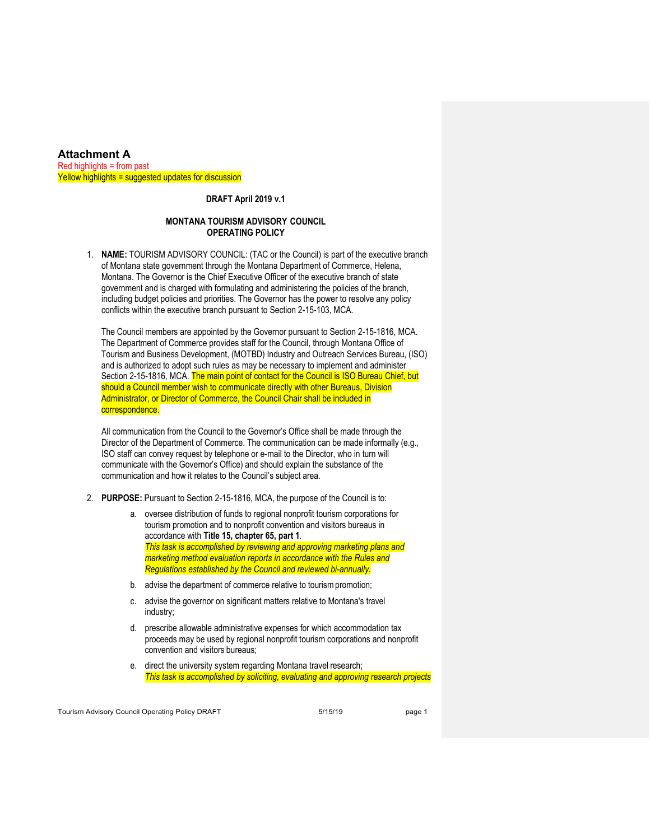#### **Attachment A**  $Red$  highlights = from past Yellow highlights = suggested updates for discussion

#### **DRAFT April 2019 v.1**

#### **MONTANA TOURISM ADVISORY COUNCIL OPERATING POLICY**

1. **NAME:** TOURISM ADVISORY COUNCIL: (TAC or the Council) is part of the executive branch of Montana state government through the Montana Department of Commerce, Helena, Montana. The Governor is the Chief Executive Officer of the executive branch of state government and is charged with formulating and administering the policies of the branch, including budget policies and priorities. The Governor has the power to resolve any policy conflicts within the executive branch pursuant to Section 2-15-103, MCA.

The Council members are appointed by the Governor pursuant to Section 2-15-1816, MCA. The Department of Commerce provides staff for the Council, through Montana Office of Tourism and Business Development, (MOTBD) Industry and Outreach Services Bureau, (ISO) and is authorized to adopt such rules as may be necessary to implement and administer Section 2-15-1816, MCA. The main point of contact for the Council is ISO Bureau Chief, but should a Council member wish to communicate directly with other Bureaus, Division Administrator, or Director of Commerce, the Council Chair shall be included in correspondence.

All communication from the Council to the Governor's Office shall be made through the Director of the Department of Commerce. The communication can be made informally (e.g., ISO staff can convey request by telephone or e-mail to the Director, who in turn will communicate with the Governor's Office) and should explain the substance of the communication and how it relates to the Council's subject area.

- 2. **PURPOSE:** Pursuant to Section 2-15-1816, MCA, the purpose of the Council is to:
	- a. oversee distribution of funds to regional nonprofit tourism corporations for tourism promotion and to nonprofit convention and visitors bureaus in accordance with **Title 15, chapter 65, part 1**. *This task is accomplished by reviewing and approving marketing plans and marketing method evaluation reports in accordance with the Rules and Regulations established by the Council and reviewed bi-annually.*
	- b. advise the department of commerce relative to tourism promotion:
	- c. advise the governor on significant matters relative to Montana's travel industry;
	- d. prescribe allowable administrative expenses for which accommodation tax proceeds may be used by regional nonprofit tourism corporations and nonprofit convention and visitors bureaus;
	- e. direct the university system regarding Montana travel research; *This task is accomplished by soliciting, evaluating and approving research projects*

Tourism Advisory Council Operating Policy DRAFT 5/15/19 5/15/19 page 1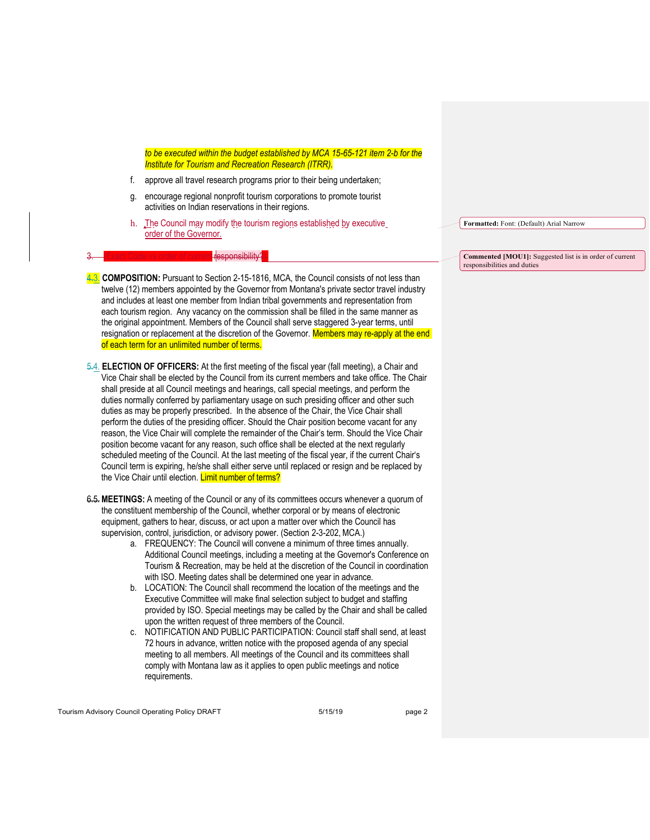*to be executed within the budget established by MCA 15-65-121 item 2-b for the Institute for Tourism and Recreation Research (ITRR).*

- f. approve all travel research programs prior to their being undertaken;
- g. encourage regional nonprofit tourism corporations to promote tourist activities on Indian reservations in their regions.
- h. The Council may modify the tourism regions established by executive order of the Governor.

#### responsibility?

4.3. **COMPOSITION:** Pursuant to Section 2-15-1816, MCA, the Council consists of not less than twelve (12) members appointed by the Governor from Montana's private sector travel industry and includes at least one member from Indian tribal governments and representation from each tourism region. Any vacancy on the commission shall be filled in the same manner as the original appointment. Members of the Council shall serve staggered 3-year terms, until resignation or replacement at the discretion of the Governor. Members may re-apply at the end of each term for an unlimited number of terms.

5.4. **ELECTION OF OFFICERS:** At the first meeting of the fiscal year (fall meeting), a Chair and Vice Chair shall be elected by the Council from its current members and take office. The Chair shall preside at all Council meetings and hearings, call special meetings, and perform the duties normally conferred by parliamentary usage on such presiding officer and other such duties as may be properly prescribed. In the absence of the Chair, the Vice Chair shall perform the duties of the presiding officer. Should the Chair position become vacant for any reason, the Vice Chair will complete the remainder of the Chair's term. Should the Vice Chair position become vacant for any reason, such office shall be elected at the next regularly scheduled meeting of the Council. At the last meeting of the fiscal year, if the current Chair's Council term is expiring, he/she shall either serve until replaced or resign and be replaced by the Vice Chair until election. Limit number of terms?

6.5. **MEETINGS:** A meeting of the Council or any of its committees occurs whenever a quorum of the constituent membership of the Council, whether corporal or by means of electronic equipment, gathers to hear, discuss, or act upon a matter over which the Council has supervision, control, jurisdiction, or advisory power. (Section 2-3-202, MCA.)

- a. FREQUENCY: The Council will convene a minimum of three times annually. Additional Council meetings, including a meeting at the Governor's Conference on Tourism & Recreation, may be held at the discretion of the Council in coordination with ISO. Meeting dates shall be determined one year in advance.
- b. LOCATION: The Council shall recommend the location of the meetings and the Executive Committee will make final selection subject to budget and staffing provided by ISO. Special meetings may be called by the Chair and shall be called upon the written request of three members of the Council.
- c. NOTIFICATION AND PUBLIC PARTICIPATION: Council staff shall send, at least 72 hours in advance, written notice with the proposed agenda of any special meeting to all members. All meetings of the Council and its committees shall comply with Montana law as it applies to open public meetings and notice requirements.

Tourism Advisory Council Operating Policy DRAFT 5/15/19 5/15/19 page 2

**Formatted:** Font: (Default) Arial Narrow

**Commented [MOU1]:** Suggested list is in order of current responsibilities and duties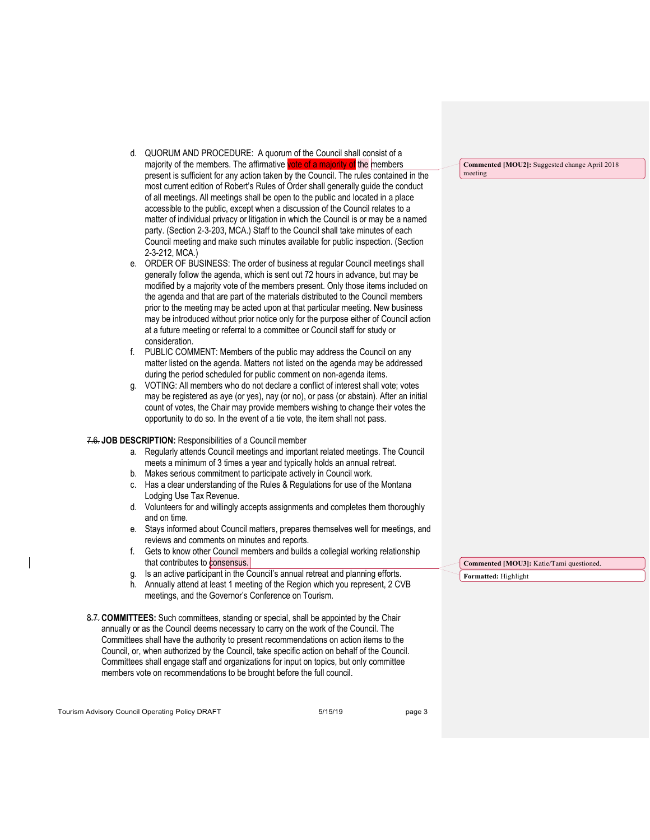- d. QUORUM AND PROCEDURE: A quorum of the Council shall consist of a majority of the members. The affirmative vote of a majority of the members present is sufficient for any action taken by the Council. The rules contained in the most current edition of Robert's Rules of Order shall generally guide the conduct of all meetings. All meetings shall be open to the public and located in a place accessible to the public, except when a discussion of the Council relates to a matter of individual privacy or litigation in which the Council is or may be a named party. (Section 2-3-203, MCA.) Staff to the Council shall take minutes of each Council meeting and make such minutes available for public inspection. (Section 2-3-212, MCA.)
- e. ORDER OF BUSINESS: The order of business at regular Council meetings shall generally follow the agenda, which is sent out 72 hours in advance, but may be modified by a majority vote of the members present. Only those items included on the agenda and that are part of the materials distributed to the Council members prior to the meeting may be acted upon at that particular meeting. New business may be introduced without prior notice only for the purpose either of Council action at a future meeting or referral to a committee or Council staff for study or consideration.
- f. PUBLIC COMMENT: Members of the public may address the Council on any matter listed on the agenda. Matters not listed on the agenda may be addressed during the period scheduled for public comment on non-agenda items.
- g. VOTING: All members who do not declare a conflict of interest shall vote; votes may be registered as aye (or yes), nay (or no), or pass (or abstain). After an initial count of votes, the Chair may provide members wishing to change their votes the opportunity to do so. In the event of a tie vote, the item shall not pass.

#### 7.6. **JOB DESCRIPTION:** Responsibilities of a Council member

- a. Regularly attends Council meetings and important related meetings. The Council meets a minimum of 3 times a year and typically holds an annual retreat.
- b. Makes serious commitment to participate actively in Council work.
- c. Has a clear understanding of the Rules & Regulations for use of the Montana Lodging Use Tax Revenue.
- d. Volunteers for and willingly accepts assignments and completes them thoroughly and on time.
- e. Stays informed about Council matters, prepares themselves well for meetings, and reviews and comments on minutes and reports.
- f. Gets to know other Council members and builds a collegial working relationship that contributes to consensus.
- g. Is an active participant in the Council's annual retreat and planning efforts.
- h. Annually attend at least 1 meeting of the Region which you represent, 2 CVB meetings, and the Governor's Conference on Tourism.
- 8.7. **COMMITTEES:** Such committees, standing or special, shall be appointed by the Chair annually or as the Council deems necessary to carry on the work of the Council. The Committees shall have the authority to present recommendations on action items to the Council, or, when authorized by the Council, take specific action on behalf of the Council. Committees shall engage staff and organizations for input on topics, but only committee members vote on recommendations to be brought before the full council.

Tourism Advisory Council Operating Policy DRAFT 5/15/19 5/15/19 page 3

**Commented [MOU2]:** Suggested change April 2018 meeting

**Commented [MOU3]:** Katie/Tami questioned. **Formatted:** Highlight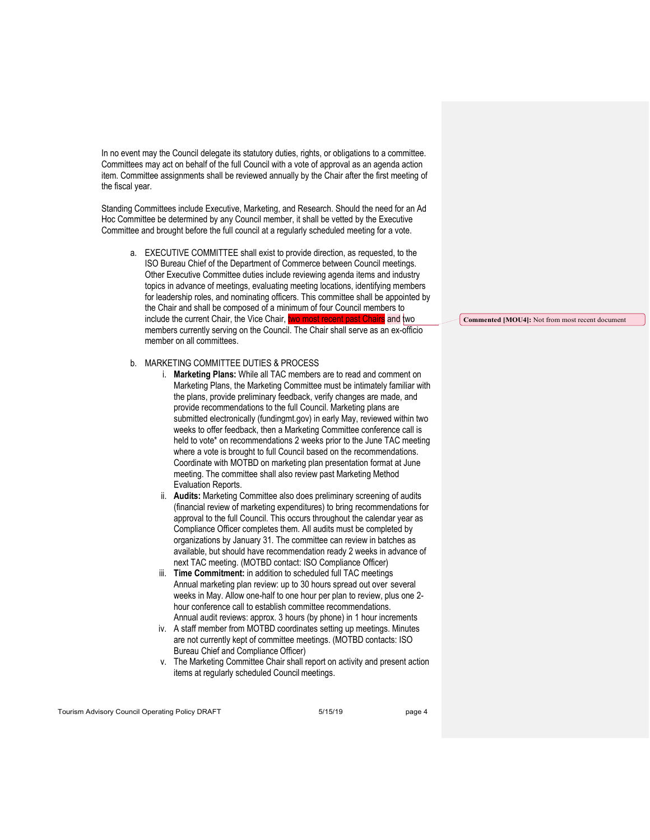In no event may the Council delegate its statutory duties, rights, or obligations to a committee. Committees may act on behalf of the full Council with a vote of approval as an agenda action item. Committee assignments shall be reviewed annually by the Chair after the first meeting of the fiscal year.

Standing Committees include Executive, Marketing, and Research. Should the need for an Ad Hoc Committee be determined by any Council member, it shall be vetted by the Executive Committee and brought before the full council at a regularly scheduled meeting for a vote.

- a. EXECUTIVE COMMITTEE shall exist to provide direction, as requested, to the ISO Bureau Chief of the Department of Commerce between Council meetings. Other Executive Committee duties include reviewing agenda items and industry topics in advance of meetings, evaluating meeting locations, identifying members for leadership roles, and nominating officers. This committee shall be appointed by the Chair and shall be composed of a minimum of four Council members to include the current Chair, the Vice Chair, two most recent past Chairs and two members currently serving on the Council. The Chair shall serve as an ex-officio member on all committees.
- b. MARKETING COMMITTEE DUTIES & PROCESS
	- i. **Marketing Plans:** While all TAC members are to read and comment on Marketing Plans, the Marketing Committee must be intimately familiar with the plans, provide preliminary feedback, verify changes are made, and provide recommendations to the full Council. Marketing plans are submitted electronically (fundingmt.gov) in early May, reviewed within two weeks to offer feedback, then a Marketing Committee conference call is held to vote\* on recommendations 2 weeks prior to the June TAC meeting where a vote is brought to full Council based on the recommendations. Coordinate with MOTBD on marketing plan presentation format at June meeting. The committee shall also review past Marketing Method Evaluation Reports.
	- ii. **Audits:** Marketing Committee also does preliminary screening of audits (financial review of marketing expenditures) to bring recommendations for approval to the full Council. This occurs throughout the calendar year as Compliance Officer completes them. All audits must be completed by organizations by January 31. The committee can review in batches as available, but should have recommendation ready 2 weeks in advance of next TAC meeting. (MOTBD contact: ISO Compliance Officer)
	- iii. **Time Commitment:** in addition to scheduled full TAC meetings Annual marketing plan review: up to 30 hours spread out over several weeks in May. Allow one-half to one hour per plan to review, plus one 2 hour conference call to establish committee recommendations. Annual audit reviews: approx. 3 hours (by phone) in 1 hour increments
	- iv. A staff member from MOTBD coordinates setting up meetings. Minutes are not currently kept of committee meetings. (MOTBD contacts: ISO Bureau Chief and Compliance Officer)
	- v. The Marketing Committee Chair shall report on activity and present action items at regularly scheduled Council meetings.

**Commented [MOU4]:** Not from most recent document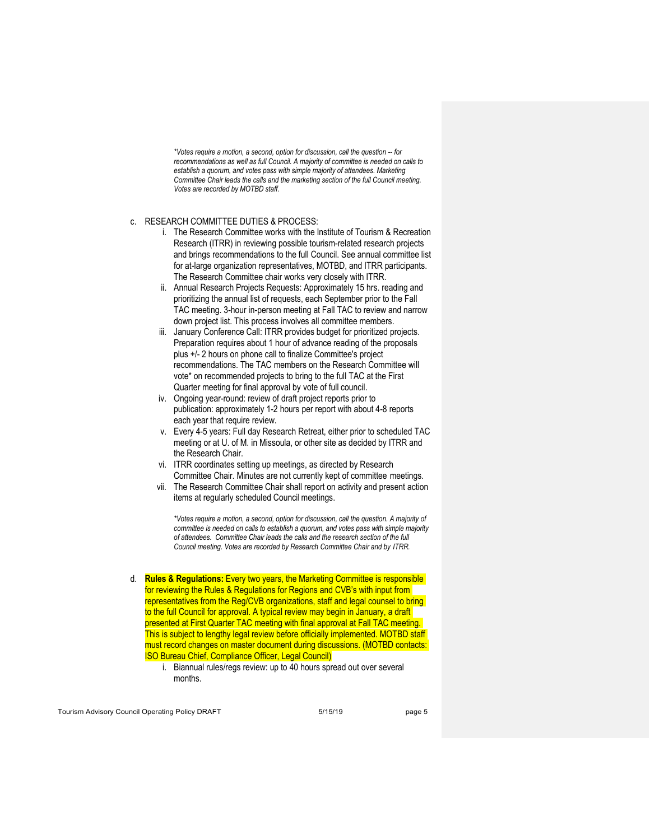*\*Votes require a motion, a second, option for discussion, call the question -- for recommendations as well as full Council. A majority of committee is needed on calls to establish a quorum, and votes pass with simple majority of attendees. Marketing Committee Chair leads the calls and the marketing section of the full Council meeting. Votes are recorded by MOTBD staff.*

#### c. RESEARCH COMMITTEE DUTIES & PROCESS:

- i. The Research Committee works with the Institute of Tourism & Recreation Research (ITRR) in reviewing possible tourism-related research projects and brings recommendations to the full Council. See annual committee list for at-large organization representatives, MOTBD, and ITRR participants. The Research Committee chair works very closely with ITRR.
- ii. Annual Research Projects Requests: Approximately 15 hrs. reading and prioritizing the annual list of requests, each September prior to the Fall TAC meeting. 3-hour in-person meeting at Fall TAC to review and narrow down project list. This process involves all committee members.
- iii. January Conference Call: ITRR provides budget for prioritized projects. Preparation requires about 1 hour of advance reading of the proposals plus +/- 2 hours on phone call to finalize Committee's project recommendations. The TAC members on the Research Committee will vote\* on recommended projects to bring to the full TAC at the First Quarter meeting for final approval by vote of full council.
- iv. Ongoing year-round: review of draft project reports prior to publication: approximately 1-2 hours per report with about 4-8 reports each year that require review.
- v. Every 4-5 years: Full day Research Retreat, either prior to scheduled TAC meeting or at U. of M. in Missoula, or other site as decided by ITRR and the Research Chair.
- vi. ITRR coordinates setting up meetings, as directed by Research Committee Chair. Minutes are not currently kept of committee meetings.
- vii. The Research Committee Chair shall report on activity and present action items at regularly scheduled Council meetings.

*\*Votes require a motion, a second, option for discussion, call the question. A majority of committee is needed on calls to establish a quorum, and votes pass with simple majority of attendees. Committee Chair leads the calls and the research section of the full Council meeting. Votes are recorded by Research Committee Chair and by ITRR.*

- d. **Rules & Regulations:** Every two years, the Marketing Committee is responsible for reviewing the Rules & Regulations for Regions and CVB's with input from representatives from the Reg/CVB organizations, staff and legal counsel to bring to the full Council for approval. A typical review may begin in January, a draft presented at First Quarter TAC meeting with final approval at Fall TAC meeting. This is subject to lengthy legal review before officially implemented. MOTBD staff must record changes on master document during discussions. (MOTBD contacts: ISO Bureau Chief, Compliance Officer, Legal Council)
	- i. Biannual rules/regs review: up to 40 hours spread out over several months.

Tourism Advisory Council Operating Policy DRAFT 5/15/19 5/15/19 page 5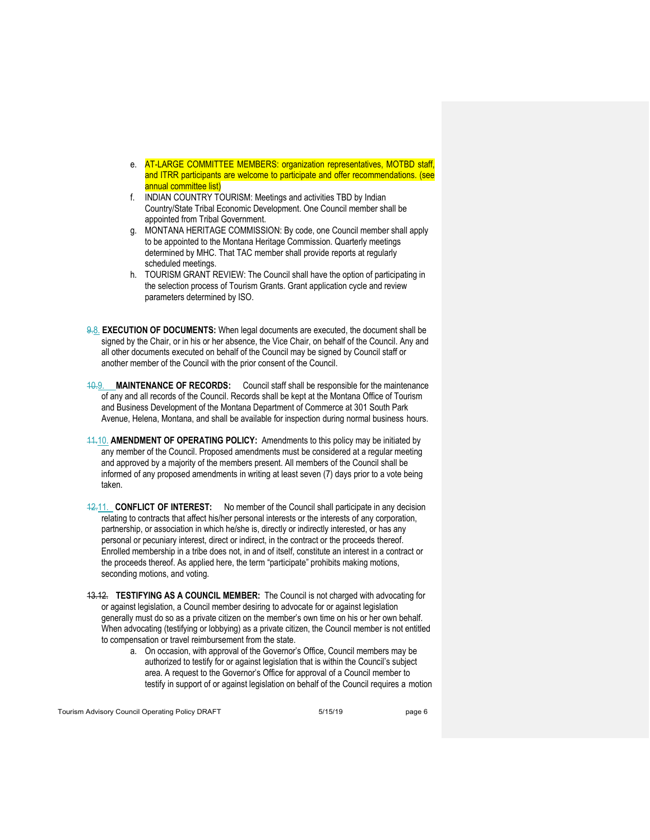- e. AT-LARGE COMMITTEE MEMBERS: organization representatives, MOTBD staff, and ITRR participants are welcome to participate and offer recommendations. (see annual committee list)
- f. INDIAN COUNTRY TOURISM: Meetings and activities TBD by Indian Country/State Tribal Economic Development. One Council member shall be appointed from Tribal Government.
- g. MONTANA HERITAGE COMMISSION: By code, one Council member shall apply to be appointed to the Montana Heritage Commission. Quarterly meetings determined by MHC. That TAC member shall provide reports at regularly scheduled meetings.
- h. TOURISM GRANT REVIEW: The Council shall have the option of participating in the selection process of Tourism Grants. Grant application cycle and review parameters determined by ISO.
- 9.8. **EXECUTION OF DOCUMENTS:** When legal documents are executed, the document shall be signed by the Chair, or in his or her absence, the Vice Chair, on behalf of the Council. Any and all other documents executed on behalf of the Council may be signed by Council staff or another member of the Council with the prior consent of the Council.
- 10.9. **MAINTENANCE OF RECORDS:** Council staff shall be responsible for the maintenance of any and all records of the Council. Records shall be kept at the Montana Office of Tourism and Business Development of the Montana Department of Commerce at 301 South Park Avenue, Helena, Montana, and shall be available for inspection during normal business hours.
- 11.10. **AMENDMENT OF OPERATING POLICY:** Amendments to this policy may be initiated by any member of the Council. Proposed amendments must be considered at a regular meeting and approved by a majority of the members present. All members of the Council shall be informed of any proposed amendments in writing at least seven (7) days prior to a vote being taken.
- 12.11. **CONFLICT OF INTEREST:** No member of the Council shall participate in any decision relating to contracts that affect his/her personal interests or the interests of any corporation, partnership, or association in which he/she is, directly or indirectly interested, or has any personal or pecuniary interest, direct or indirect, in the contract or the proceeds thereof. Enrolled membership in a tribe does not, in and of itself, constitute an interest in a contract or the proceeds thereof. As applied here, the term "participate" prohibits making motions, seconding motions, and voting.
- 13.12. **TESTIFYING AS A COUNCIL MEMBER:** The Council is not charged with advocating for or against legislation, a Council member desiring to advocate for or against legislation generally must do so as a private citizen on the member's own time on his or her own behalf. When advocating (testifying or lobbying) as a private citizen, the Council member is not entitled to compensation or travel reimbursement from the state.
	- a. On occasion, with approval of the Governor's Office, Council members may be authorized to testify for or against legislation that is within the Council's subject area. A request to the Governor's Office for approval of a Council member to testify in support of or against legislation on behalf of the Council requires a motion

Tourism Advisory Council Operating Policy DRAFT 5/15/19 5/15/19 page 6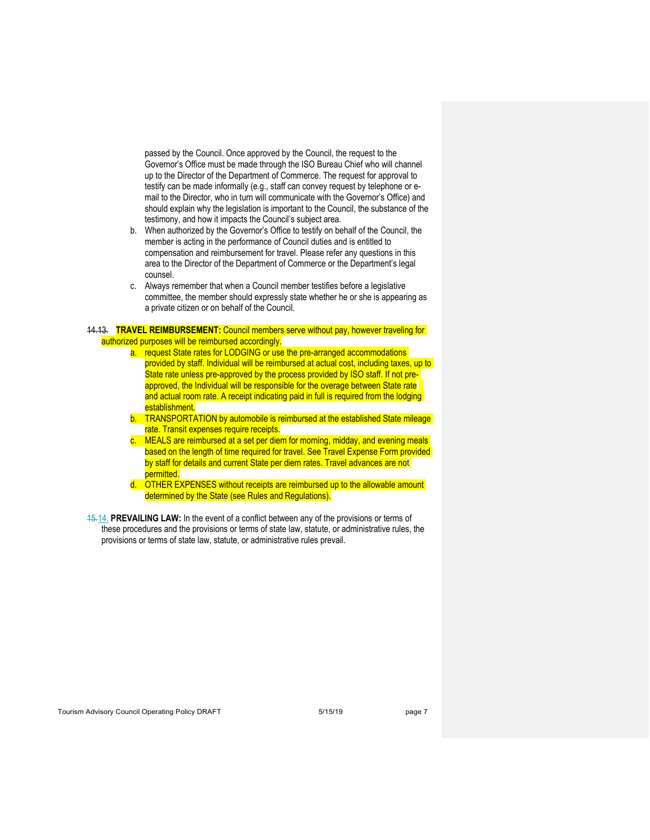passed by the Council. Once approved by the Council, the request to the Governor's Office must be made through the ISO Bureau Chief who will channel up to the Director of the Department of Commerce. The request for approval to testify can be made informally (e.g., staff can convey request by telephone or email to the Director, who in turn will communicate with the Governor's Office) and should explain why the legislation is important to the Council, the substance of the testimony, and how it impacts the Council's subject area.

- b. When authorized by the Governor's Office to testify on behalf of the Council, the member is acting in the performance of Council duties and is entitled to compensation and reimbursement for travel. Please refer any questions in this area to the Director of the Department of Commerce or the Department's legal counsel.
- c. Always remember that when a Council member testifies before a legislative committee, the member should expressly state whether he or she is appearing as a private citizen or on behalf of the Council.

14.13. **TRAVEL REIMBURSEMENT:** Council members serve without pay, however traveling for authorized purposes will be reimbursed accordingly.

- a. request State rates for LODGING or use the pre-arranged accommodations provided by staff. Individual will be reimbursed at actual cost, including taxes, up to State rate unless pre-approved by the process provided by ISO staff. If not preapproved, the Individual will be responsible for the overage between State rate and actual room rate. A receipt indicating paid in full is required from the lodging establishment.
- b. TRANSPORTATION by automobile is reimbursed at the established State mileage rate. Transit expenses require receipts.
- c. MEALS are reimbursed at a set per diem for morning, midday, and evening meals based on the length of time required for travel. See Travel Expense Form provided by staff for details and current State per diem rates. Travel advances are not permitted.
- d. OTHER EXPENSES without receipts are reimbursed up to the allowable amount determined by the State (see Rules and Regulations).
- 15.14. **PREVAILING LAW:** In the event of a conflict between any of the provisions or terms of these procedures and the provisions or terms of state law, statute, or administrative rules, the provisions or terms of state law, statute, or administrative rules prevail.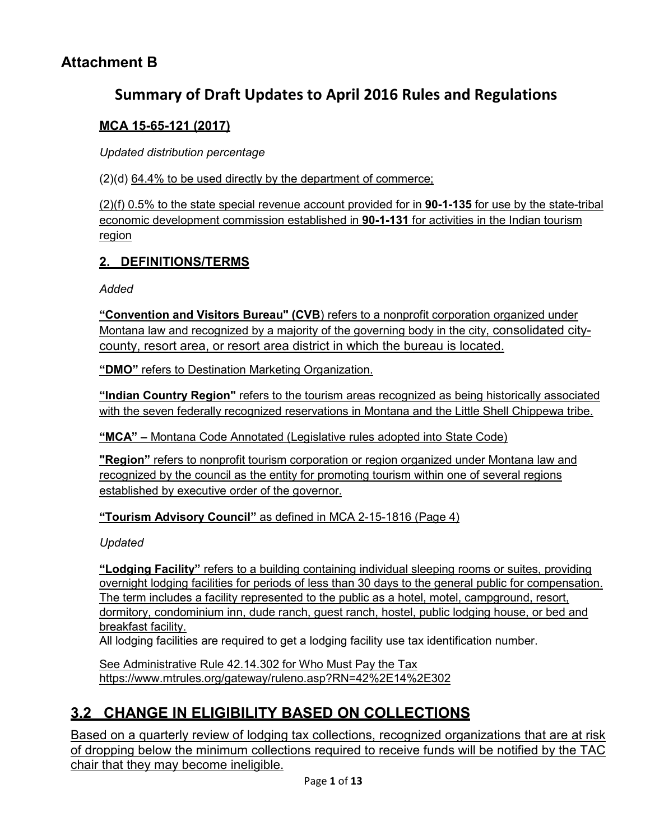## **Attachment B**

# **Summary of Draft Updates to April 2016 Rules and Regulations**

## **MCA 15-65-121 (2017)**

*Updated distribution percentage*

(2)(d) 64.4% to be used directly by the department of commerce;

(2)(f) 0.5% to the state special revenue account provided for in **[90-1-135](http://leg.mt.gov/bills/mca/title_0900/chapter_0010/part_0010/section_0350/0900-0010-0010-0350.html)** for use by the state-tribal economic development commission established in **[90-1-131](http://leg.mt.gov/bills/mca/title_0900/chapter_0010/part_0010/section_0310/0900-0010-0010-0310.html)** for activities in the Indian tourism region

## **2. DEFINITIONS/TERMS**

*Added*

**"Convention and Visitors Bureau" (CVB**) refers to a nonprofit corporation organized under Montana law and recognized by a majority of the governing body in the city, consolidated citycounty, resort area, or resort area district in which the bureau is located.

**"DMO"** refers to Destination Marketing Organization.

**"Indian Country Region"** refers to the tourism areas recognized as being historically associated with the seven federally recognized reservations in Montana and the Little Shell Chippewa tribe.

**"MCA" –** Montana Code Annotated (Legislative rules adopted into State Code)

**"Region"** refers to nonprofit tourism corporation or region organized under Montana law and recognized by the council as the entity for promoting tourism within one of several regions established by executive order of the governor.

**"Tourism Advisory Council"** as defined in MCA 2-15-1816 (Page 4)

*Updated*

**"Lodging Facility"** refers to a building containing individual sleeping rooms or suites, providing overnight lodging facilities for periods of less than 30 days to the general public for compensation. The term includes a facility represented to the public as a hotel, motel, campground, resort, dormitory, condominium inn, dude ranch, guest ranch, hostel, public lodging house, or bed and breakfast facility.

All lodging facilities are required to get a lodging facility use tax identification number.

See Administrative Rule 42.14.302 for [Who Must Pay the Tax](http://www.mtrules.org/gateway/ruleno.asp?RN=42%2E14%2E302) <https://www.mtrules.org/gateway/ruleno.asp?RN=42%2E14%2E302>

# **3.2 CHANGE IN ELIGIBILITY BASED ON COLLECTIONS**

Based on a quarterly review of lodging tax collections, recognized organizations that are at risk of dropping below the minimum collections required to receive funds will be notified by the TAC chair that they may become ineligible.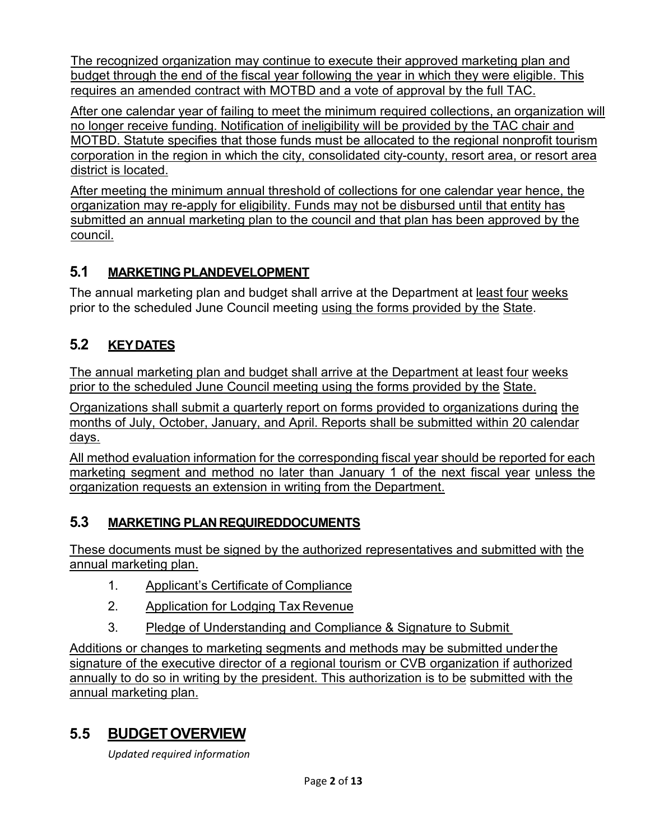The recognized organization may continue to execute their approved marketing plan and budget through the end of the fiscal year following the year in which they were eligible. This requires an amended contract with MOTBD and a vote of approval by the full TAC.

After one calendar year of failing to meet the minimum required collections, an organization will no longer receive funding. Notification of ineligibility will be provided by the TAC chair and MOTBD. Statute specifies that those funds must be allocated to the regional nonprofit tourism corporation in the region in which the city, consolidated city-county, resort area, or resort area district is located.

After meeting the minimum annual threshold of collections for one calendar year hence, the organization may re-apply for eligibility. Funds may not be disbursed until that entity has submitted an annual marketing plan to the council and that plan has been approved by the council.

## **5.1 MARKETING PLANDEVELOPMENT**

The annual marketing plan and budget shall arrive at the Department at least four weeks prior to the scheduled June Council meeting using the forms provided by the State.

# **5.2 KEYDATES**

The annual marketing plan and budget shall arrive at the Department at least four weeks prior to the scheduled June Council meeting using the forms provided by the State.

Organizations shall submit a quarterly report on forms provided to organizations during the months of July, October, January, and April. Reports shall be submitted within 20 calendar days.

All method evaluation information for the corresponding fiscal year should be reported for each marketing segment and method no later than January 1 of the next fiscal year unless the organization requests an extension in writing from the Department.

## **5.3 MARKETING PLAN REQUIREDDOCUMENTS**

These documents must be signed by the authorized representatives and submitted with the annual marketing plan.

- 1. Applicant's Certificate of Compliance
- 2. Application for Lodging Tax Revenue
- 3. Pledge of Understanding and Compliance & Signature to Submit

Additions or changes to marketing segments and methods may be submitted underthe signature of the executive director of a regional tourism or CVB organization if authorized annually to do so in writing by the president. This authorization is to be submitted with the annual marketing plan.

# **5.5 BUDGETOVERVIEW**

*Updated required information*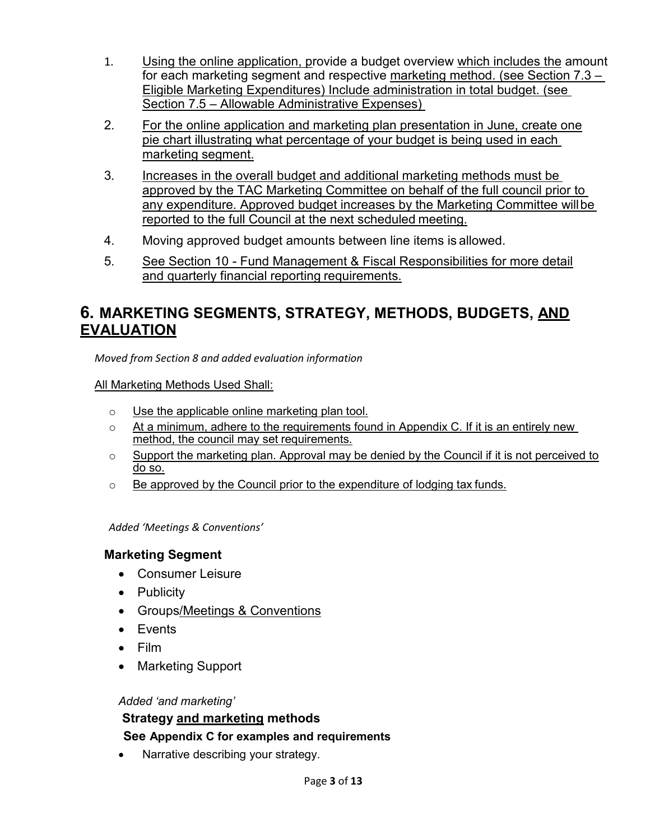- 1. Using the online application, provide a budget overview which includes the amount for each marketing segment and respective marketing method. (see Section 7.3 – Eligible Marketing Expenditures) Include administration in total budget. (see Section 7.5 – Allowable Administrative Expenses)
- 2. For the online application and marketing plan presentation in June, create one pie chart illustrating what percentage of your budget is being used in each marketing segment.
- 3. Increases in the overall budget and additional marketing methods must be approved by the TAC Marketing Committee on behalf of the full council prior to any expenditure. Approved budget increases by the Marketing Committee willbe reported to the full Council at the next scheduled meeting.
- 4. Moving approved budget amounts between line items is allowed.
- 5. See Section 10 Fund Management & Fiscal Responsibilities for more detail and quarterly financial reporting requirements.

# **6. MARKETING SEGMENTS, STRATEGY, METHODS, BUDGETS, AND EVALUATION**

*Moved from Section 8 and added evaluation information*

All Marketing Methods Used Shall:

- $\circ$  Use the applicable online marketing plan tool.
- $\circ$  At a minimum, adhere to the requirements found in Appendix C. If it is an entirely new method, the council may set requirements.
- $\circ$  Support the marketing plan. Approval may be denied by the Council if it is not perceived to do so.
- $\circ$  Be approved by the Council prior to the expenditure of lodging tax funds.

*Added 'Meetings & Conventions'*

### **Marketing Segment**

- Consumer Leisure
- Publicity
- Groups/Meetings & Conventions
- Events
- Film
- Marketing Support

#### *Added 'and marketing'*

## **Strategy and marketing methods See Appendix C for examples and requirements**

Narrative describing your strategy.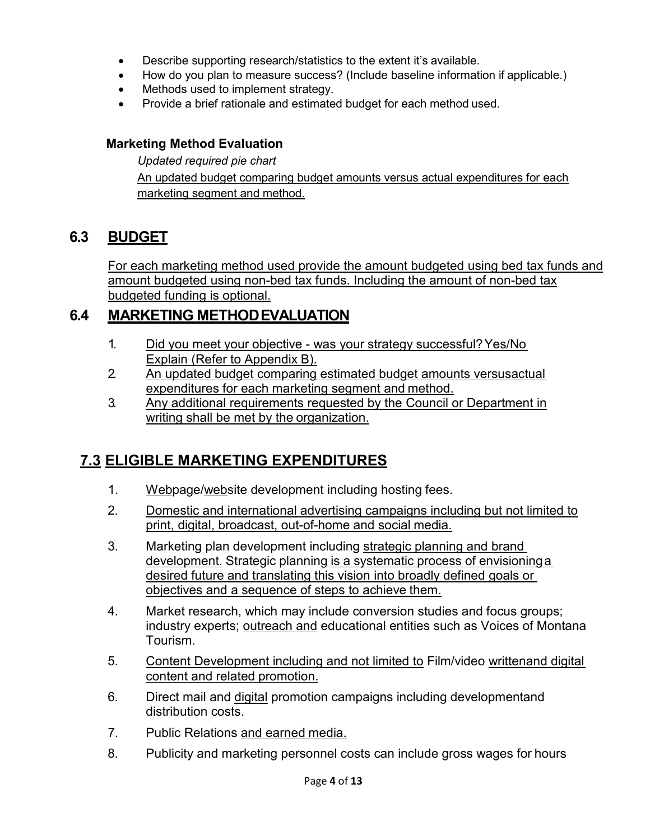- Describe supporting research/statistics to the extent it's available.
- How do you plan to measure success? (Include baseline information if applicable.)
- Methods used to implement strategy.
- Provide a brief rationale and estimated budget for each method used.

### **Marketing Method Evaluation**

*Updated required pie chart* An updated budget comparing budget amounts versus actual expenditures for each marketing segment and method.

## **6.3 BUDGET**

For each marketing method used provide the amount budgeted using bed tax funds and amount budgeted using non-bed tax funds. Including the amount of non-bed tax budgeted funding is optional.

## **6.4 MARKETING METHODEVALUATION**

- 1. Did you meet your objective was your strategy successful?Yes/No Explain (Refer to Appendix B).
- 2. An updated budget comparing estimated budget amounts versusactual expenditures for each marketing segment and method.
- 3. Any additional requirements requested by the Council or Department in writing shall be met by the organization.

# **7.3 ELIGIBLE MARKETING EXPENDITURES**

- 1. Webpage/website development including hosting fees.
- 2. Domestic and international advertising campaigns including but not limited to print, digital, broadcast, out-of-home and social media.
- 3. Marketing plan development including strategic planning and brand development. Strategic planning is a systematic process of envisioninga desired future and translating this vision into broadly defined goals or objectives and a sequence of steps to achieve them.
- 4. Market research, which may include conversion studies and focus groups; industry experts; outreach and educational entities such as Voices of Montana Tourism.
- 5. Content Development including and not limited to Film/video writtenand digital content and related promotion.
- 6. Direct mail and digital promotion campaigns including developmentand distribution costs.
- 7. Public Relations and earned media.
- 8. Publicity and marketing personnel costs can include gross wages for hours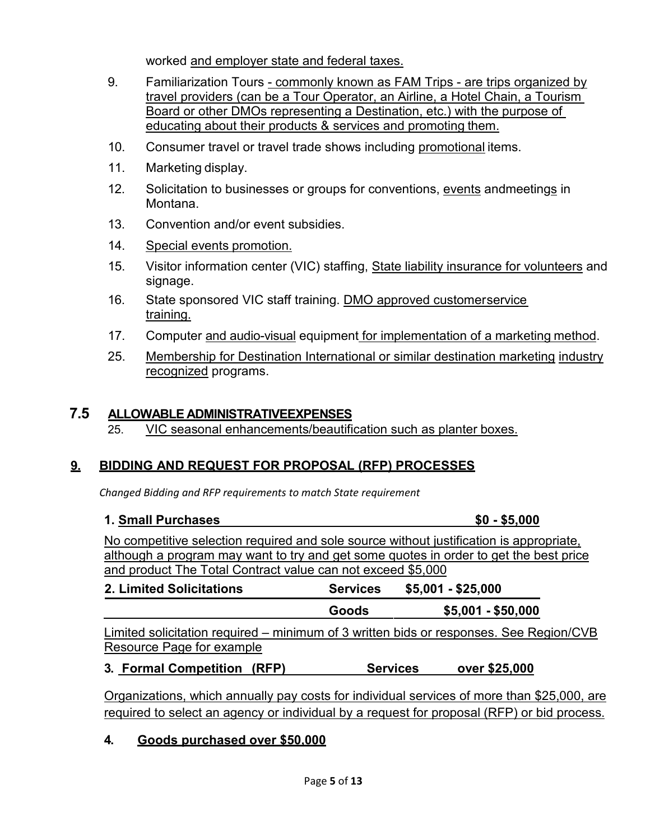worked and employer state and federal taxes.

- 9. Familiarization Tours commonly known as FAM Trips are trips organized by travel providers (can be a Tour Operator, an Airline, a Hotel Chain, a Tourism Board or other DMOs representing a Destination, etc.) with the purpose of educating about their products & services and promoting them.
- 10. Consumer travel or travel trade shows including promotional items.
- 11. Marketing display.
- 12. Solicitation to businesses or groups for conventions, events andmeetings in Montana.
- 13. Convention and/or event subsidies.
- 14. Special events promotion.
- 15. Visitor information center (VIC) staffing, State liability insurance for volunteers and signage.
- 16. State sponsored VIC staff training. DMO approved customerservice training.
- 17. Computer and audio-visual equipment for implementation of a marketing method.
- 25. Membership for Destination International or similar destination marketing industry recognized programs.

## **7.5 ALLOWABLE ADMINISTRATIVEEXPENSES**

25. VIC seasonal enhancements/beautification such as planter boxes.

## **9. BIDDING AND REQUEST FOR PROPOSAL (RFP) PROCESSES**

*Changed Bidding and RFP requirements to match State requirement*

#### **1. Small Purchases \$0 - \$5,000**

No competitive selection required and sole source without justification is appropriate, although a program may want to try and get some quotes in order to get the best price and product The Total Contract value can not exceed \$5,000

| 2. Limited Solicitations                                                               | <b>Services</b> | \$5,001 - \$25,000 |  |
|----------------------------------------------------------------------------------------|-----------------|--------------------|--|
|                                                                                        | Goods           | $$5,001 - $50,000$ |  |
| Limited solicitation required – minimum of 3 written bids or responses. See Region/CVB |                 |                    |  |
| Resource Page for example                                                              |                 |                    |  |
| $\sim$ $\sim$                                                                          |                 | *** ***            |  |

### **3. Formal Competition (RFP) Services over \$25,000**

Organizations, which annually pay costs for individual services of more than \$25,000, are required to select an agency or individual by a request for proposal (RFP) or bid process.

## **4. Goods purchased over \$50,000**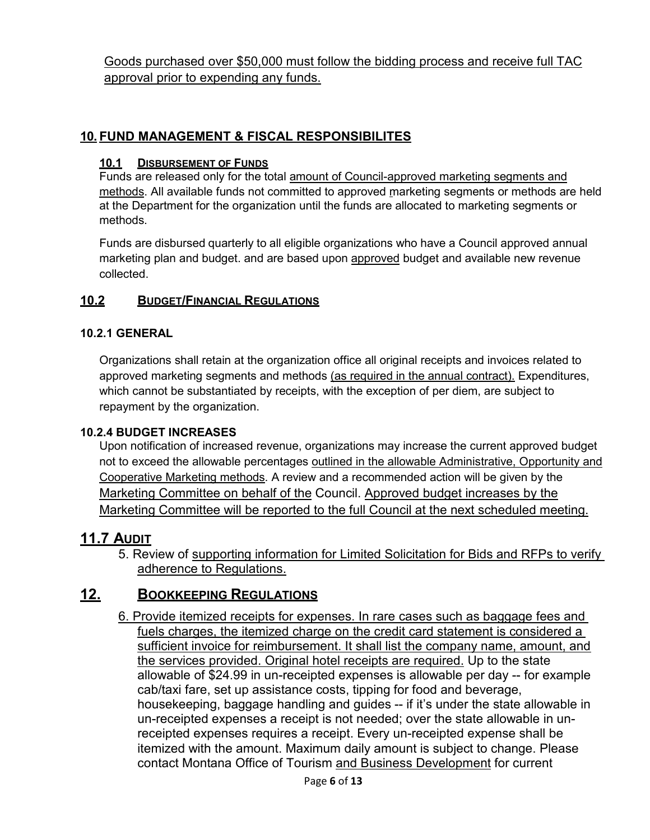Goods purchased over \$50,000 must follow the bidding process and receive full TAC approval prior to expending any funds.

## **10. FUND MANAGEMENT & FISCAL RESPONSIBILITES**

#### **10.1 DISBURSEMENT OF FUNDS**

Funds are released only for the total amount of Council-approved marketing segments and methods. All available funds not committed to approved marketing segments or methods are held at the Department for the organization until the funds are allocated to marketing segments or methods.

Funds are disbursed quarterly to all eligible organizations who have a Council approved annual marketing plan and budget. and are based upon approved budget and available new revenue collected.

### **10.2 BUDGET/FINANCIAL REGULATIONS**

#### **10.2.1 GENERAL**

Organizations shall retain at the organization office all original receipts and invoices related to approved marketing segments and methods (as required in the annual contract). Expenditures, which cannot be substantiated by receipts, with the exception of per diem, are subject to repayment by the organization.

#### **10.2.4 BUDGET INCREASES**

Upon notification of increased revenue, organizations may increase the current approved budget not to exceed the allowable percentages outlined in the allowable Administrative, Opportunity and Cooperative Marketing methods. A review and a recommended action will be given by the Marketing Committee on behalf of the Council. Approved budget increases by the Marketing Committee will be reported to the full Council at the next scheduled meeting.

## **11.7 AUDIT**

5. Review of supporting information for Limited Solicitation for Bids and RFPs to verify adherence to Regulations.

## **12. BOOKKEEPING REGULATIONS**

6. Provide itemized receipts for expenses. In rare cases such as baggage fees and fuels charges, the itemized charge on the credit card statement is considered a sufficient invoice for reimbursement. It shall list the company name, amount, and the services provided. Original hotel receipts are required. Up to the state allowable of \$24.99 in un-receipted expenses is allowable per day -- for example cab/taxi fare, set up assistance costs, tipping for food and beverage, housekeeping, baggage handling and guides -- if it's under the state allowable in un-receipted expenses a receipt is not needed; over the state allowable in unreceipted expenses requires a receipt. Every un-receipted expense shall be itemized with the amount. Maximum daily amount is subject to change. Please contact Montana Office of Tourism and Business Development for current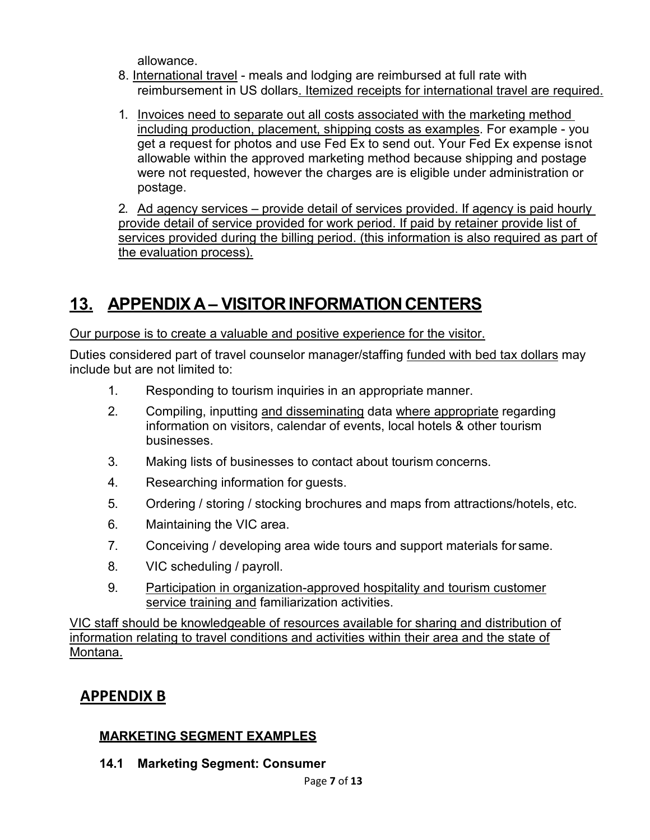allowance.

- 8. International travel meals and lodging are reimbursed at full rate with reimbursement in US dollars. Itemized receipts for international travel are required.
- 1. Invoices need to separate out all costs associated with the marketing method including production, placement, shipping costs as examples. For example - you get a request for photos and use Fed Ex to send out. Your Fed Ex expense isnot allowable within the approved marketing method because shipping and postage were not requested, however the charges are is eligible under administration or postage.

2. Ad agency services – provide detail of services provided. If agency is paid hourly provide detail of service provided for work period. If paid by retainer provide list of services provided during the billing period. (this information is also required as part of the evaluation process).

# 13. APPENDIX A – VISITOR INFORMATION CENTERS

Our purpose is to create a valuable and positive experience for the visitor.

Duties considered part of travel counselor manager/staffing funded with bed tax dollars may include but are not limited to:

- 1. Responding to tourism inquiries in an appropriate manner.
- 2. Compiling, inputting and disseminating data where appropriate regarding information on visitors, calendar of events, local hotels & other tourism businesses.
- 3. Making lists of businesses to contact about tourism concerns.
- 4. Researching information for guests.
- 5. Ordering / storing / stocking brochures and maps from attractions/hotels, etc.
- 6. Maintaining the VIC area.
- 7. Conceiving / developing area wide tours and support materials for same.
- 8. VIC scheduling / payroll.
- 9. Participation in organization-approved hospitality and tourism customer service training and familiarization activities.

VIC staff should be knowledgeable of resources available for sharing and distribution of information relating to travel conditions and activities within their area and the state of Montana.

# **APPENDIX B**

## **MARKETING SEGMENT EXAMPLES**

**14.1 Marketing Segment: Consumer**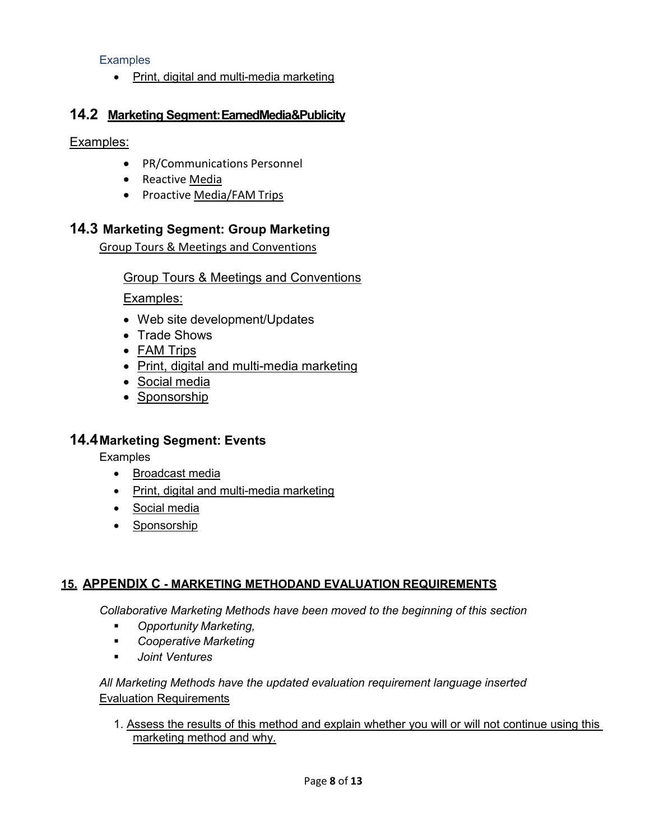**Examples** 

• Print, digital and multi-media marketing

### **14.2 Marketing Segment:EarnedMedia&Publicity**

Examples:

- PR/Communications Personnel
- Reactive Media
- Proactive Media/FAM Trips

## **14.3 Marketing Segment: Group Marketing**

Group Tours & Meetings and Conventions

Group Tours & Meetings and Conventions

Examples:

- Web site development/Updates
- Trade Shows
- FAM Trips
- Print, digital and multi-media marketing
- Social media
- Sponsorship

### **14.4Marketing Segment: Events**

**Examples** 

- Broadcast media
- Print, digital and multi-media marketing
- Social media
- Sponsorship

#### **15. APPENDIX C - MARKETING METHODAND EVALUATION REQUIREMENTS**

*Collaborative Marketing Methods have been moved to the beginning of this section*

- *Opportunity Marketing,*
- *Cooperative Marketing*
- *Joint Ventures*

#### *All Marketing Methods have the updated evaluation requirement language inserted* Evaluation Requirements

1. Assess the results of this method and explain whether you will or will not continue using this marketing method and why.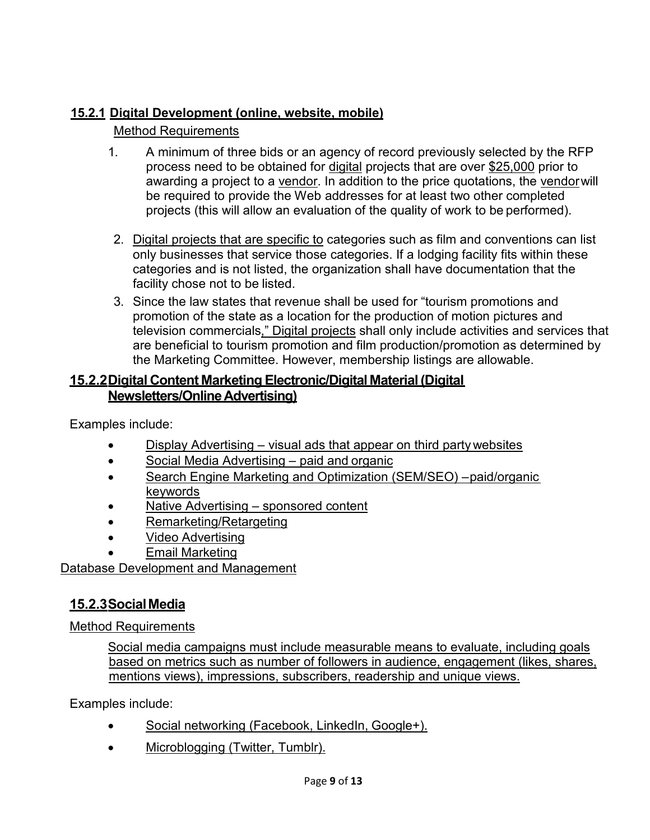## **15.2.1 Digital Development (online, website, mobile)**

## Method Requirements

- 1. A minimum of three bids or an agency of record previously selected by the RFP process need to be obtained for digital projects that are over \$25,000 prior to awarding a project to a vendor. In addition to the price quotations, the vendorwill be required to provide the Web addresses for at least two other completed projects (this will allow an evaluation of the quality of work to be performed).
- 2. Digital projects that are specific to categories such as film and conventions can list only businesses that service those categories. If a lodging facility fits within these categories and is not listed, the organization shall have documentation that the facility chose not to be listed.
- 3. Since the law states that revenue shall be used for "tourism promotions and promotion of the state as a location for the production of motion pictures and television commercials," Digital projects shall only include activities and services that are beneficial to tourism promotion and film production/promotion as determined by the Marketing Committee. However, membership listings are allowable.

## **15.2.2Digital Content Marketing Electronic/Digital Material (Digital Newsletters/OnlineAdvertising)**

Examples include:

- Display Advertising visual ads that appear on third party websites
- Social Media Advertising paid and organic
- Search Engine Marketing and Optimization (SEM/SEO) –paid/organic keywords
- Native Advertising sponsored content
- Remarketing/Retargeting
- Video Advertising
- **Email Marketing**

Database Development and Management

## **15.2.3SocialMedia**

Method Requirements

Social media campaigns must include measurable means to evaluate, including goals based on metrics such as number of followers in audience, engagement (likes, shares, mentions views), impressions, subscribers, readership and unique views.

Examples include:

- Social networking (Facebook, LinkedIn, Google+).
- Microblogging (Twitter, Tumblr).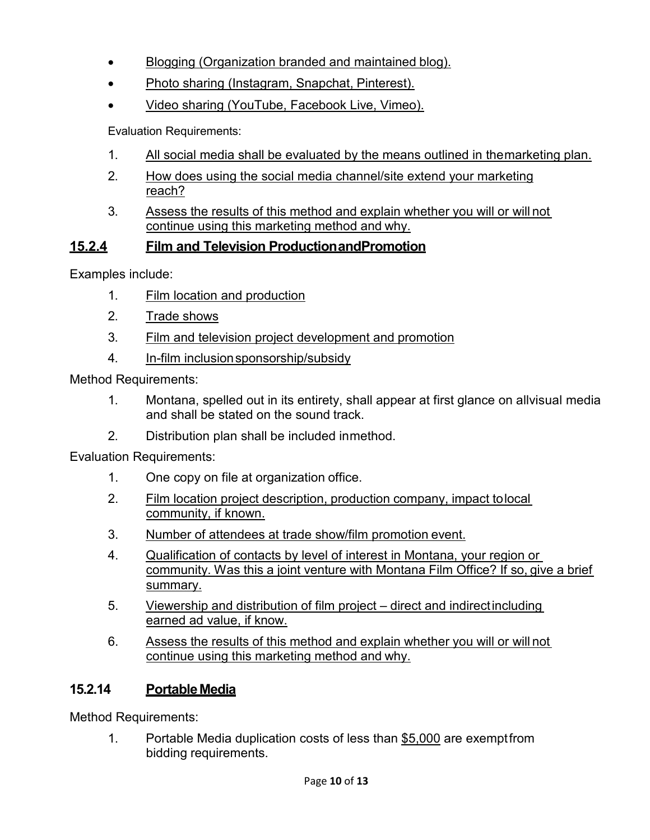- Blogging (Organization branded and maintained blog).
- Photo sharing (Instagram, Snapchat, Pinterest).
- Video sharing (YouTube, Facebook Live, Vimeo).

Evaluation Requirements:

- 1. All social media shall be evaluated by the means outlined in themarketing plan.
- 2. How does using the social media channel/site extend your marketing reach?
- 3. Assess the results of this method and explain whether you will or will not continue using this marketing method and why.

## **15.2.4 Film and Television ProductionandPromotion**

Examples include:

- 1. Film location and production
- 2. Trade shows
- 3. Film and television project development and promotion
- 4. In-film inclusionsponsorship/subsidy

Method Requirements:

- 1. Montana, spelled out in its entirety, shall appear at first glance on allvisual media and shall be stated on the sound track.
- 2. Distribution plan shall be included inmethod.

Evaluation Requirements:

- 1. One copy on file at organization office.
- 2. Film location project description, production company, impact tolocal community, if known.
- 3. Number of attendees at trade show/film promotion event.
- 4. Qualification of contacts by level of interest in Montana, your region or community. Was this a joint venture with Montana Film Office? If so, give a brief summary.
- 5. Viewership and distribution of film project direct and indirectincluding earned ad value, if know.
- 6. Assess the results of this method and explain whether you will or will not continue using this marketing method and why.

# **15.2.14 PortableMedia**

Method Requirements:

1. Portable Media duplication costs of less than \$5,000 are exemptfrom bidding requirements.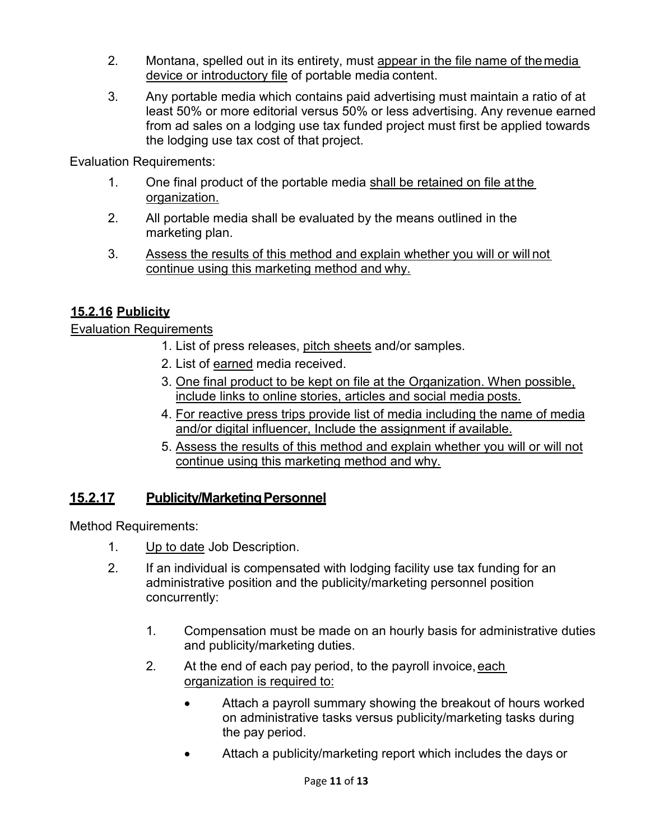- 2. Montana, spelled out in its entirety, must appear in the file name of themedia device or introductory file of portable media content.
- 3. Any portable media which contains paid advertising must maintain a ratio of at least 50% or more editorial versus 50% or less advertising. Any revenue earned from ad sales on a lodging use tax funded project must first be applied towards the lodging use tax cost of that project.

Evaluation Requirements:

- 1. One final product of the portable media shall be retained on file at the organization.
- 2. All portable media shall be evaluated by the means outlined in the marketing plan.
- 3. Assess the results of this method and explain whether you will or will not continue using this marketing method and why.

## **15.2.16 Publicity**

**Evaluation Requirements** 

- 1. List of press releases, pitch sheets and/or samples.
- 2. List of earned media received.
- 3. One final product to be kept on file at the Organization. When possible, include links to online stories, articles and social media posts.
- 4. For reactive press trips provide list of media including the name of media and/or digital influencer, Include the assignment if available.
- 5. Assess the results of this method and explain whether you will or will not continue using this marketing method and why.

## **15.2.17 Publicity/MarketingPersonnel**

Method Requirements:

- 1. Up to date Job Description.
- 2. If an individual is compensated with lodging facility use tax funding for an administrative position and the publicity/marketing personnel position concurrently:
	- 1. Compensation must be made on an hourly basis for administrative duties and publicity/marketing duties.
	- 2. At the end of each pay period, to the payroll invoice,each organization is required to:
		- Attach a payroll summary showing the breakout of hours worked on administrative tasks versus publicity/marketing tasks during the pay period.
		- Attach a publicity/marketing report which includes the days or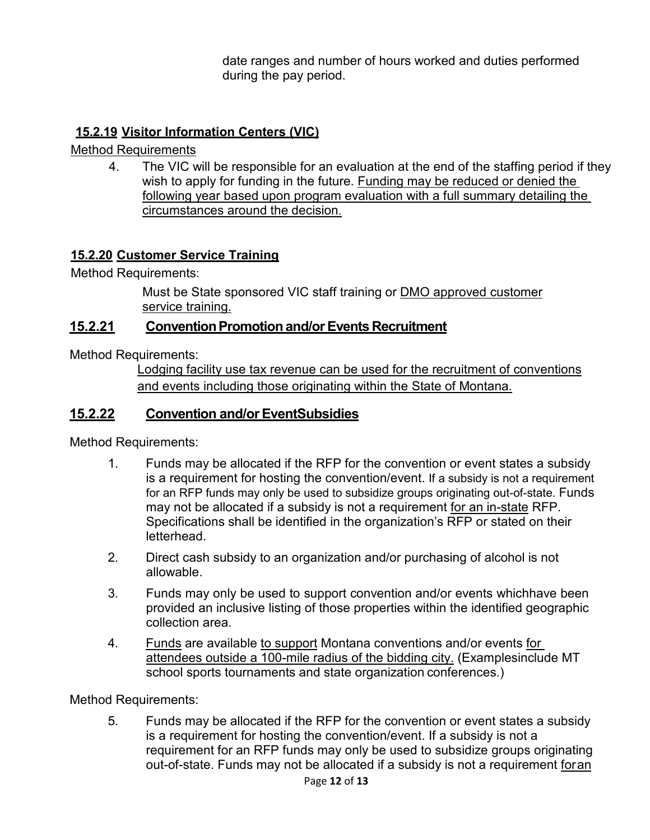date ranges and number of hours worked and duties performed during the pay period.

## **15.2.19 Visitor Information Centers (VIC)**

Method Requirements

4. The VIC will be responsible for an evaluation at the end of the staffing period if they wish to apply for funding in the future. Funding may be reduced or denied the following year based upon program evaluation with a full summary detailing the circumstances around the decision.

## **15.2.20 Customer Service Training**

Method Requirements:

Must be State sponsored VIC staff training or DMO approved customer service training.

### **15.2.21 ConventionPromotion and/orEvents Recruitment**

Method Requirements:

Lodging facility use tax revenue can be used for the recruitment of conventions and events including those originating within the State of Montana.

## **15.2.22 Convention and/orEventSubsidies**

Method Requirements:

- 1. Funds may be allocated if the RFP for the convention or event states a subsidy is a requirement for hosting the convention/event. If a subsidy is not a requirement for an RFP funds may only be used to subsidize groups originating out-of-state. Funds may not be allocated if a subsidy is not a requirement for an in-state RFP. Specifications shall be identified in the organization's RFP or stated on their letterhead.
- 2. Direct cash subsidy to an organization and/or purchasing of alcohol is not allowable.
- 3. Funds may only be used to support convention and/or events whichhave been provided an inclusive listing of those properties within the identified geographic collection area.
- 4. Funds are available to support Montana conventions and/or events for attendees outside a 100-mile radius of the bidding city. (Examplesinclude MT school sports tournaments and state organization conferences.)

Method Requirements:

5. Funds may be allocated if the RFP for the convention or event states a subsidy is a requirement for hosting the convention/event. If a subsidy is not a requirement for an RFP funds may only be used to subsidize groups originating out-of-state. Funds may not be allocated if a subsidy is not a requirement foran